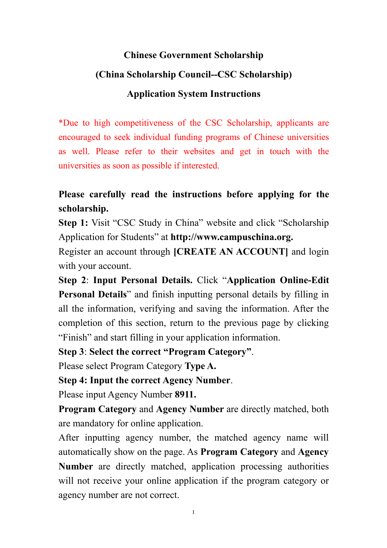### **Chinese Government Scholarship**

## **(China Scholarship Council--CSC Scholarship)**

## **Application System Instructions**

\*Due to high competitiveness of the CSC Scholarship, applicants are encouraged to seek individual funding programs of Chinese universities as well. Please refer to their websites and get in touch with the universities as soon as possible if interested.

# **Please carefully read the instructions before applying for the scholarship.**

**Step 1:** Visit "CSC Study in China" website and click "Scholarship" Application for Students" at **http://www.campuschina.org.**

Register an account through **[CREATE AN ACCOUNT]** and login with your account.

**Step 2**: **Input Personal Details.** Click "**Application Online-Edit Personal Details**" and finish inputting personal details by filling in all the information, verifying and saving the information. After the completion of this section, return to the previous page by clicking "Finish" and start filling in your application information.

**Step 3**: **Select the correct "Program Category"**.

Please select Program Category **Type A.**

**Step 4: Input the correct Agency Number**.

Please input Agency Number **8911.**

**Program Category** and **Agency Number** are directly matched, both are mandatory for online application.

After inputting agency number, the matched agency name will automatically show on the page. As **Program Category** and **Agency Number** are directly matched, application processing authorities will not receive your online application if the program category or agency number are not correct.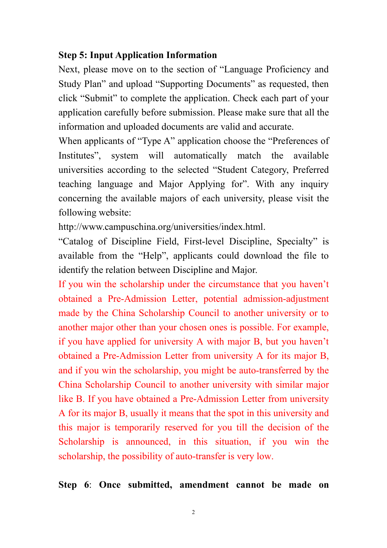#### **Step 5: Input Application Information**

Next, please move on to the section of "Language Proficiency and Study Plan" and upload "Supporting Documents" as requested, then click "Submit" to complete the application. Check each part of your application carefully before submission. Please make sure that all the information and uploaded documents are valid and accurate.

When applicants of "Type A" application choose the "Preferences of Institutes", system will automatically match the available universities according to the selected "Student Category, Preferred teaching language and Major Applying for". With any inquiry concerning the available majors of each university, please visit the following website:

http://www.campuschina.org/universities/index.html.

"Catalog of Discipline Field, First-level Discipline, Specialty" is available from the "Help", applicants could download the file to identify the relation between Discipline and Major.

If you win the scholarship under the circumstance that you haven't obtained a Pre-Admission Letter, potential admission-adjustment made by the China Scholarship Council to another university or to another major other than your chosen ones is possible. For example, if you have applied for university A with major B, but you haven't obtained a Pre-Admission Letter from university A for its major B, and if you win the scholarship, you might be auto-transferred by the China Scholarship Council to another university with similar major like B. If you have obtained a Pre-Admission Letter from university A for its major B, usually it means that the spot in this university and this major is temporarily reserved for you till the decision of the Scholarship is announced, in this situation, if you win the scholarship, the possibility of auto-transfer is very low.

**Step 6**: **Once submitted, amendment cannot be made on**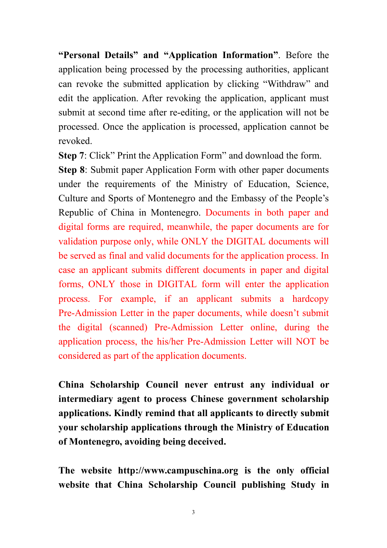**"Personal Details" and "Application Information"**. Before the application being processed by the processing authorities, applicant can revoke the submitted application by clicking "Withdraw" and edit the application. After revoking the application, applicant must submit at second time after re-editing, or the application will not be processed. Once the application is processed, application cannot be revoked.

**Step 7:** Click" Print the Application Form" and download the form.

**Step 8**: Submit paper Application Form with other paper documents under the requirements of the Ministry of Education, Science, Culture and Sports of Montenegro and the Embassy of the People's Republic of China in Montenegro. Documents in both paper and digital forms are required, meanwhile, the paper documents are for validation purpose only, while ONLY the DIGITAL documents will be served as final and valid documents for the application process. In case an applicant submits different documents in paper and digital forms, ONLY those in DIGITAL form will enter the application process. For example, if an applicant submits a hardcopy Pre-Admission Letter in the paper documents, while doesn't submit the digital (scanned) Pre-Admission Letter online, during the application process, the his/her Pre-Admission Letter will NOT be considered as part of the application documents.

**China Scholarship Council never entrust any individual or intermediary agent to process Chinese government scholarship applications. Kindly remind that all applicants to directly submit your scholarship applications through the Ministry of Education of Montenegro, avoiding being deceived.**

**The website http://www.campuschina.org is the only official website that China Scholarship Council publishing Study in**